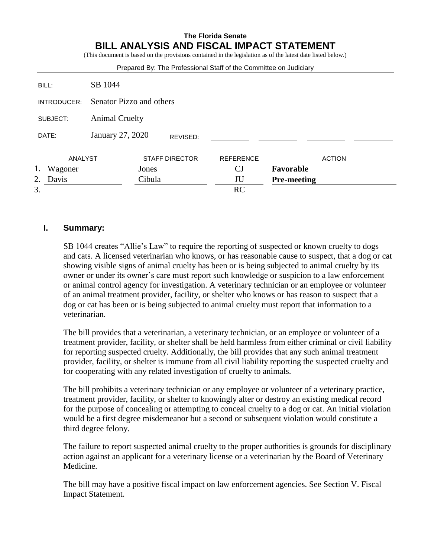## **The Florida Senate BILL ANALYSIS AND FISCAL IMPACT STATEMENT**

(This document is based on the provisions contained in the legislation as of the latest date listed below.)

| Prepared By: The Professional Staff of the Committee on Judiciary |                              |        |                       |                  |                    |               |
|-------------------------------------------------------------------|------------------------------|--------|-----------------------|------------------|--------------------|---------------|
| BILL:                                                             | SB 1044                      |        |                       |                  |                    |               |
| INTRODUCER:                                                       | Senator Pizzo and others     |        |                       |                  |                    |               |
| SUBJECT:                                                          | <b>Animal Cruelty</b>        |        |                       |                  |                    |               |
| DATE:                                                             | January 27, 2020<br>REVISED: |        |                       |                  |                    |               |
| ANALYST                                                           |                              |        | <b>STAFF DIRECTOR</b> | <b>REFERENCE</b> |                    | <b>ACTION</b> |
| 1.<br>Wagoner                                                     |                              | Jones  |                       | CJ               | Favorable          |               |
| 2.<br>Davis                                                       |                              | Cibula |                       | JU               | <b>Pre-meeting</b> |               |
| 3.                                                                |                              |        |                       | RC               |                    |               |
|                                                                   |                              |        |                       |                  |                    |               |

### **I. Summary:**

SB 1044 creates "Allie's Law" to require the reporting of suspected or known cruelty to dogs and cats. A licensed veterinarian who knows, or has reasonable cause to suspect, that a dog or cat showing visible signs of animal cruelty has been or is being subjected to animal cruelty by its owner or under its owner's care must report such knowledge or suspicion to a law enforcement or animal control agency for investigation. A veterinary technician or an employee or volunteer of an animal treatment provider, facility, or shelter who knows or has reason to suspect that a dog or cat has been or is being subjected to animal cruelty must report that information to a veterinarian.

The bill provides that a veterinarian, a veterinary technician, or an employee or volunteer of a treatment provider, facility, or shelter shall be held harmless from either criminal or civil liability for reporting suspected cruelty. Additionally, the bill provides that any such animal treatment provider, facility, or shelter is immune from all civil liability reporting the suspected cruelty and for cooperating with any related investigation of cruelty to animals.

The bill prohibits a veterinary technician or any employee or volunteer of a veterinary practice, treatment provider, facility, or shelter to knowingly alter or destroy an existing medical record for the purpose of concealing or attempting to conceal cruelty to a dog or cat. An initial violation would be a first degree misdemeanor but a second or subsequent violation would constitute a third degree felony.

The failure to report suspected animal cruelty to the proper authorities is grounds for disciplinary action against an applicant for a veterinary license or a veterinarian by the Board of Veterinary Medicine.

The bill may have a positive fiscal impact on law enforcement agencies. See Section V. Fiscal Impact Statement.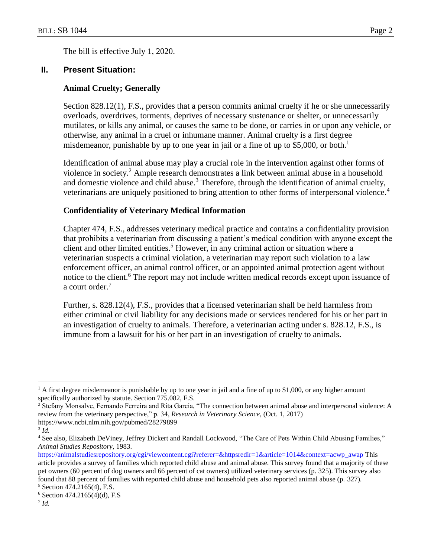The bill is effective July 1, 2020.

### **II. Present Situation:**

#### **Animal Cruelty; Generally**

Section 828.12(1), F.S., provides that a person commits animal cruelty if he or she unnecessarily overloads, overdrives, torments, deprives of necessary sustenance or shelter, or unnecessarily mutilates, or kills any animal, or causes the same to be done, or carries in or upon any vehicle, or otherwise, any animal in a cruel or inhumane manner. Animal cruelty is a first degree misdemeanor, punishable by up to one year in jail or a fine of up to \$5,000, or both.<sup>1</sup>

Identification of animal abuse may play a crucial role in the intervention against other forms of violence in society.<sup>2</sup> Ample research demonstrates a link between animal abuse in a household and domestic violence and child abuse.<sup>3</sup> Therefore, through the identification of animal cruelty, veterinarians are uniquely positioned to bring attention to other forms of interpersonal violence.<sup>4</sup>

#### **Confidentiality of Veterinary Medical Information**

Chapter 474, F.S., addresses veterinary medical practice and contains a confidentiality provision that prohibits a veterinarian from discussing a patient's medical condition with anyone except the client and other limited entities.<sup>5</sup> However, in any criminal action or situation where a veterinarian suspects a criminal violation, a veterinarian may report such violation to a law enforcement officer, an animal control officer, or an appointed animal protection agent without notice to the client.<sup>6</sup> The report may not include written medical records except upon issuance of a court order.<sup>7</sup>

Further, s. 828.12(4), F.S., provides that a licensed veterinarian shall be held harmless from either criminal or civil liability for any decisions made or services rendered for his or her part in an investigation of cruelty to animals. Therefore, a veterinarian acting under s. 828.12, F.S., is immune from a lawsuit for his or her part in an investigation of cruelty to animals.

 $\overline{a}$ 

 $<sup>1</sup>$  A first degree misdemeanor is punishable by up to one year in jail and a fine of up to \$1,000, or any higher amount</sup> specifically authorized by statute. Section 775.082, F.S.

<sup>2</sup> Stefany Monsalve, Fernando Ferreira and Rita Garcia, "The connection between animal abuse and interpersonal violence: A review from the veterinary perspective," p. 34, *Research in Veterinary Science*, (Oct. 1, 2017) https://www.ncbi.nlm.nih.gov/pubmed/28279899

<sup>3</sup> *Id.*

<sup>4</sup> See also, Elizabeth DeViney, Jeffrey Dickert and Randall Lockwood, "The Care of Pets Within Child Abusing Families," *Animal Studies Repository*, 1983.

[https://animalstudiesrepository.org/cgi/viewcontent.cgi?referer=&httpsredir=1&article=1014&context=acwp\\_awap](https://animalstudiesrepository.org/cgi/viewcontent.cgi?referer=&httpsredir=1&article=1014&context=acwp_awap) This article provides a survey of families which reported child abuse and animal abuse. This survey found that a majority of these pet owners (60 percent of dog owners and 66 percent of cat owners) utilized veterinary services (p. 325). This survey also found that 88 percent of families with reported child abuse and household pets also reported animal abuse (p. 327). <sup>5</sup> Section 474.2165(4), F.S.

 $6$  Section 474.2165(4)(d), F.S

<sup>7</sup> *Id.*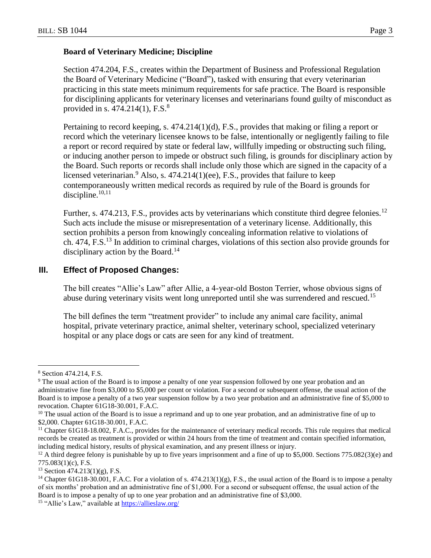#### **Board of Veterinary Medicine; Discipline**

Section 474.204, F.S., creates within the Department of Business and Professional Regulation the Board of Veterinary Medicine ("Board"), tasked with ensuring that every veterinarian practicing in this state meets minimum requirements for safe practice. The Board is responsible for disciplining applicants for veterinary licenses and veterinarians found guilty of misconduct as provided in s.  $474.214(1)$ , F.S.<sup>8</sup>

Pertaining to record keeping, s. 474.214(1)(d), F.S., provides that making or filing a report or record which the veterinary licensee knows to be false, intentionally or negligently failing to file a report or record required by state or federal law, willfully impeding or obstructing such filing, or inducing another person to impede or obstruct such filing, is grounds for disciplinary action by the Board. Such reports or records shall include only those which are signed in the capacity of a licensed veterinarian.<sup>9</sup> Also, s.  $474.214(1)$ (ee), F.S., provides that failure to keep contemporaneously written medical records as required by rule of the Board is grounds for discipline. $10,11$ 

Further, s. 474.213, F.S., provides acts by veterinarians which constitute third degree felonies.<sup>12</sup> Such acts include the misuse or misrepresentation of a veterinary license. Additionally, this section prohibits a person from knowingly concealing information relative to violations of ch. 474, F.S.<sup>13</sup> In addition to criminal charges, violations of this section also provide grounds for disciplinary action by the Board.<sup>14</sup>

### **III. Effect of Proposed Changes:**

The bill creates "Allie's Law" after Allie, a 4-year-old Boston Terrier, whose obvious signs of abuse during veterinary visits went long unreported until she was surrendered and rescued.<sup>15</sup>

The bill defines the term "treatment provider" to include any animal care facility, animal hospital, private veterinary practice, animal shelter, veterinary school, specialized veterinary hospital or any place dogs or cats are seen for any kind of treatment.

 $\overline{a}$ <sup>8</sup> Section 474.214, F.S.

<sup>9</sup> The usual action of the Board is to impose a penalty of one year suspension followed by one year probation and an administrative fine from \$3,000 to \$5,000 per count or violation. For a second or subsequent offense, the usual action of the Board is to impose a penalty of a two year suspension follow by a two year probation and an administrative fine of \$5,000 to revocation. Chapter 61G18-30.001, F.A.C.

 $10$  The usual action of the Board is to issue a reprimand and up to one year probation, and an administrative fine of up to \$2,000. Chapter 61G18-30.001, F.A.C.

<sup>&</sup>lt;sup>11</sup> Chapter 61G18-18.002, F.A.C., provides for the maintenance of veterinary medical records. This rule requires that medical records be created as treatment is provided or within 24 hours from the time of treatment and contain specified information, including medical history, results of physical examination, and any present illness or injury.

<sup>&</sup>lt;sup>12</sup> A third degree felony is punishable by up to five years imprisonment and a fine of up to \$5,000. Sections 775.082(3)(e) and 775.083(1)(c), F.S.

 $13$  Section 474.213(1)(g), F.S.

<sup>&</sup>lt;sup>14</sup> Chapter 61G18-30.001, F.A.C. For a violation of s.  $474.213(1)(g)$ , F.S., the usual action of the Board is to impose a penalty of six months' probation and an administrative fine of \$1,000. For a second or subsequent offense, the usual action of the Board is to impose a penalty of up to one year probation and an administrative fine of \$3,000.

<sup>&</sup>lt;sup>15</sup> "Allie's Law," available at<https://allieslaw.org/>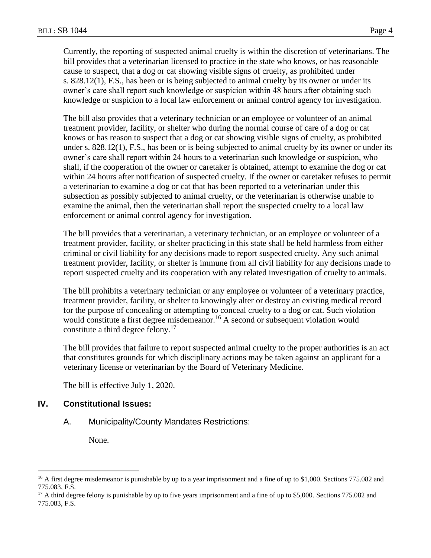Currently, the reporting of suspected animal cruelty is within the discretion of veterinarians. The bill provides that a veterinarian licensed to practice in the state who knows, or has reasonable cause to suspect, that a dog or cat showing visible signs of cruelty, as prohibited under s. 828.12(1), F.S., has been or is being subjected to animal cruelty by its owner or under its owner's care shall report such knowledge or suspicion within 48 hours after obtaining such knowledge or suspicion to a local law enforcement or animal control agency for investigation.

The bill also provides that a veterinary technician or an employee or volunteer of an animal treatment provider, facility, or shelter who during the normal course of care of a dog or cat knows or has reason to suspect that a dog or cat showing visible signs of cruelty, as prohibited under s. 828.12(1), F.S., has been or is being subjected to animal cruelty by its owner or under its owner's care shall report within 24 hours to a veterinarian such knowledge or suspicion, who shall, if the cooperation of the owner or caretaker is obtained, attempt to examine the dog or cat within 24 hours after notification of suspected cruelty. If the owner or caretaker refuses to permit a veterinarian to examine a dog or cat that has been reported to a veterinarian under this subsection as possibly subjected to animal cruelty, or the veterinarian is otherwise unable to examine the animal, then the veterinarian shall report the suspected cruelty to a local law enforcement or animal control agency for investigation.

The bill provides that a veterinarian, a veterinary technician, or an employee or volunteer of a treatment provider, facility, or shelter practicing in this state shall be held harmless from either criminal or civil liability for any decisions made to report suspected cruelty. Any such animal treatment provider, facility, or shelter is immune from all civil liability for any decisions made to report suspected cruelty and its cooperation with any related investigation of cruelty to animals.

The bill prohibits a veterinary technician or any employee or volunteer of a veterinary practice, treatment provider, facility, or shelter to knowingly alter or destroy an existing medical record for the purpose of concealing or attempting to conceal cruelty to a dog or cat. Such violation would constitute a first degree misdemeanor.<sup>16</sup> A second or subsequent violation would constitute a third degree felony.<sup>17</sup>

The bill provides that failure to report suspected animal cruelty to the proper authorities is an act that constitutes grounds for which disciplinary actions may be taken against an applicant for a veterinary license or veterinarian by the Board of Veterinary Medicine.

The bill is effective July 1, 2020.

#### **IV. Constitutional Issues:**

#### A. Municipality/County Mandates Restrictions:

None.

 $\overline{a}$ 

<sup>&</sup>lt;sup>16</sup> A first degree misdemeanor is punishable by up to a year imprisonment and a fine of up to \$1,000. Sections 775.082 and 775.083, F.S.

 $17$  A third degree felony is punishable by up to five years imprisonment and a fine of up to \$5,000. Sections 775.082 and 775.083, F.S.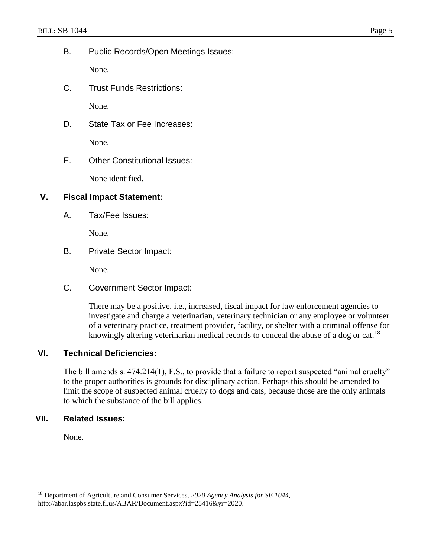B. Public Records/Open Meetings Issues:

None.

C. Trust Funds Restrictions:

None.

D. State Tax or Fee Increases:

None.

E. Other Constitutional Issues:

None identified.

## **V. Fiscal Impact Statement:**

A. Tax/Fee Issues:

None.

B. Private Sector Impact:

None.

C. Government Sector Impact:

There may be a positive, i.e., increased, fiscal impact for law enforcement agencies to investigate and charge a veterinarian, veterinary technician or any employee or volunteer of a veterinary practice, treatment provider, facility, or shelter with a criminal offense for knowingly altering veterinarian medical records to conceal the abuse of a dog or cat.<sup>18</sup>

## **VI. Technical Deficiencies:**

The bill amends s. 474.214(1), F.S., to provide that a failure to report suspected "animal cruelty" to the proper authorities is grounds for disciplinary action. Perhaps this should be amended to limit the scope of suspected animal cruelty to dogs and cats, because those are the only animals to which the substance of the bill applies.

## **VII. Related Issues:**

None.

 $\overline{a}$ 

<sup>18</sup> Department of Agriculture and Consumer Services, *2020 Agency Analysis for SB 1044*, http://abar.laspbs.state.fl.us/ABAR/Document.aspx?id=25416&yr=2020.